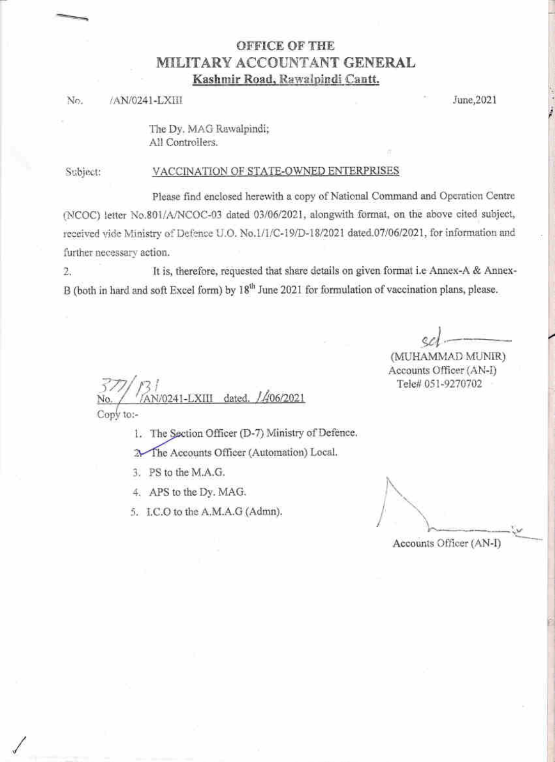## **OFFICE OF THE** MILITARY ACCOUNTANT GENERAL Kashmir Road, Rawalpindi Cantt.

## /AN/0241-LXIII No.

June, 2021

The Dy. MAG Rawalpindi; All Controllers.

Subject:

## VACCINATION OF STATE-OWNED ENTERPRISES

Please find enclosed herewith a copy of National Command and Operation Centre (NCOC) letter No.801/A/NCOC-03 dated 03/06/2021, alongwith format, on the above cited subject, received vide Ministry of Defence U.O. No.1/1/C-19/D-18/2021 dated.07/06/2021, for information and further necessary action.

It is, therefore, requested that share details on given format i.e Annex-A & Annex- $2.$ B (both in hard and soft Excel form) by 18<sup>th</sup> June 2021 for formulation of vaccination plans, please.

(MUHAMMAD MUNIR) Accounts Officer (AN-I) Tele# 051-9270702

406/2021 dated. Conv to:-

1. The Section Officer (D-7) Ministry of Defence.

The Accounts Officer (Automation) Local. 九

- 3. PS to the M.A.G.
- 4. APS to the Dy. MAG.
- 5. I.C.O to the A.M.A.G (Admn).

Accounts Officer (AN-I)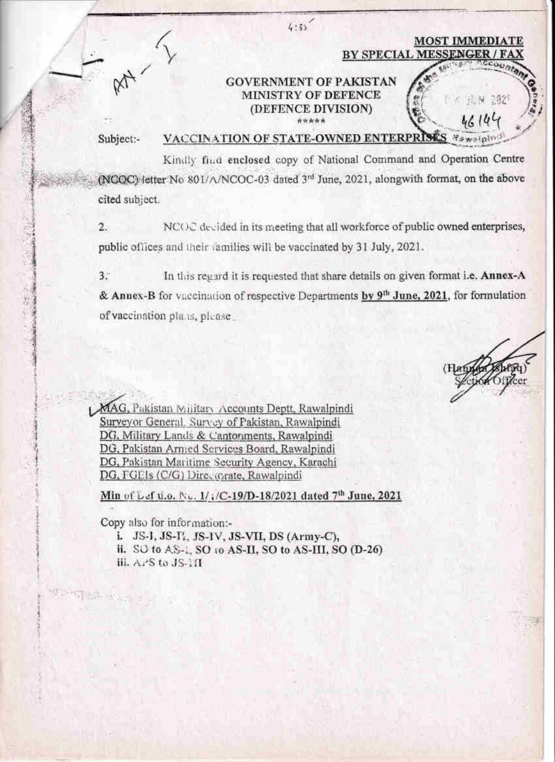|           | <b>MOST IMMEDIATE</b>                                                                     |
|-----------|-------------------------------------------------------------------------------------------|
|           | BY SPECIAL MESSENGER / FAX                                                                |
|           | <b>GOVERNMENT OF PAKISTAN</b><br>MINISTRY OF DEFENCE<br>A REAL 2821<br>(DEFENCE DIVISION) |
| Subject:- | VACCINATION OF STATE-OWNED ENTERPRISE                                                     |

Kindly find enclosed copy of National Command and Operation Centre (NCOC) letter No 801/A/NCOC-03 dated 3rd June, 2021, alongwith format, on the above cited subject.

NCOC decided in its meeting that all workforce of public owned enterprises,  $\overline{2}$ . public offices and their families will be vaccinated by 31 July, 2021.

 $3.7$ In this regard it is requested that share details on given format i.e. Annex-A & Annex-B for vaccination of respective Departments by 9<sup>th</sup> June, 2021, for formulation of vaccination plans, please

MAG, Pakistan Military Accounts Deptt, Rawalpindi Surveyor General, Survey of Pakistan, Rawalpindi DG, Military Lands & Cantonments, Rawalpindi DG, Pakistan Armed Services Board, Rawalpindi DG, Pakistan Maritime Security Agency, Karachi DG, FGEIs (C/G) Directorate, Rawalpindi

Min of Lef u.o. No. 1/1/C-19/D-18/2021 dated 7th June, 2021

Copy also for information:-

i. JS-I, JS-I, JS-IV, JS-VII, DS (Army-C),

II. SO to AS-1, SO to AS-II, SO to AS-III, SO (D-26)

iii. APS to JS-11I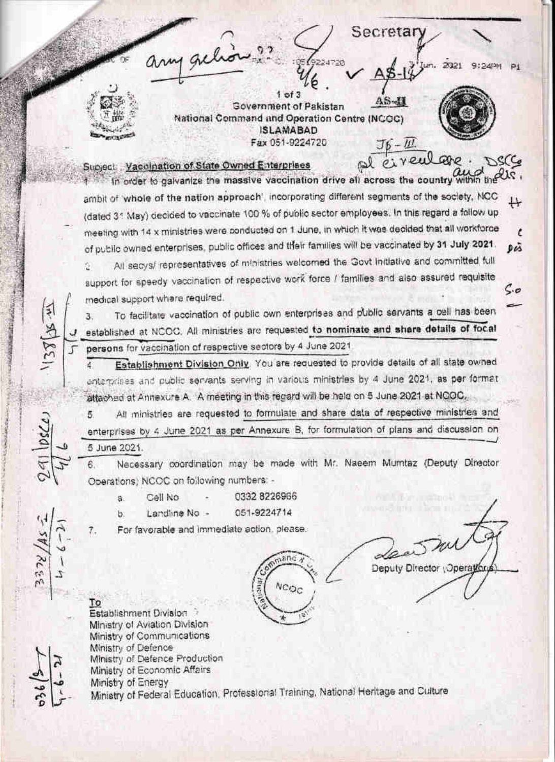Secretar  $1$  of  $3$ **Government of Pakistan** National Command and Operation Centre (NCOC) **ISLAMABAD** Fax 051-9224720 Subject Vaccination of State Owned Enterprises In order to galvanize the massive vaccination drive all across the country within the U.C. ambit of whole of the nation approach', incorporating different segments of the society, NCC (dated 31 May) decided to vaccinate 100 % of public sector employees. In this regard a fallow up meeting with 14 x ministries were conducted on 1 June, in which it was decided that all workforce r of public owned enterprises, public offices and their families will be vaccinated by 31 July 2021. Dis All secys/ representatives of ministries welcomed the Govt initiative and committed full Ý. support for speedy vaccination of respective work force / families and also assured requisite ς.σ medical support where required. To facilitate vaccination of public own enterprises and public servants a cell has been 3. established at NCOC. All ministries are requested to nominate and share details of focal persons for vaccination of respective sectors by 4 June 2021. Establishment Division Only. You are requested to provide details of all state owned enterprises and public servants serving in various ministries by 4 June 2021, as per format attached at Annexure A. A meeting in this regard will be held on 5 June 2021 at NCOC. All ministries are requested to formulate and share data of respective ministries and 5. enterprises by 4 June 2021 as per Annexure B, for formulation of plans and discussion on 5 June 2021. Necessary coordination may be made with Mr. Naeem Mumtaz (Deputy Director 6. Operations) NCOC on following numbers -0332 8226966 Call No  $\mathbf{a}$ 051-9224714 Landline No b. For favorable and immediate action, please. 7.  $\alpha$ anc Deputy Director (Operation NCOC то Establishment Division Ministry of Aviation Division Ministry of Communications Ministry of Defence Ministry of Defence Production Ministry of Economic Affairs

Ministry of Energy

Ministry of Federal Education, Professional Training, National Heritage and Culture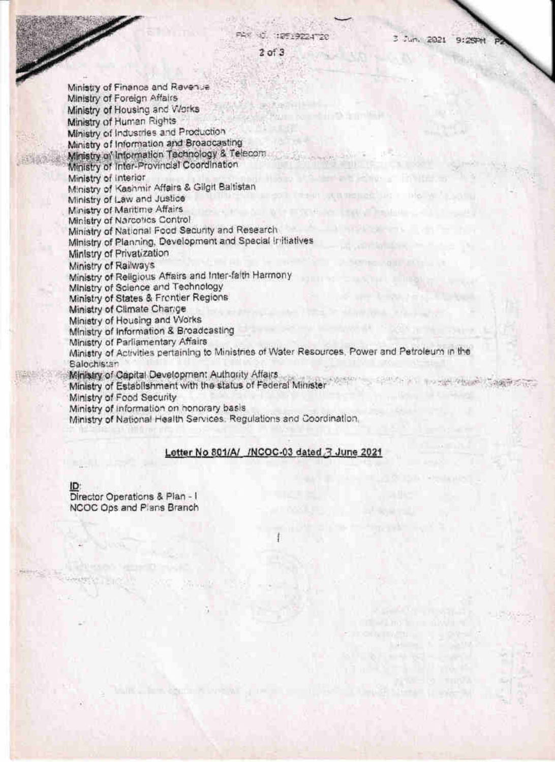3 Juni 2021 9:25PM

 $2$  of  $3$ 

 $155 + 2005$ 

Ministry of Finance and Revenue Ministry of Foreign Affairs Ministry of Housing and Works Ministry of Human Rights Ministry of Industries and Production Ministry of Information and Broadcasting Ministry of Information Technology & Telecom Ministry of Inter-Provincial Coordination Ministry of Interior Ministry of Kashmir Affairs & Gilgit Baltistan Ministry of Law and Justice Ministry of Maritime Affairs Ministry of Narcotics Control Ministry of National Food Security and Research Ministry of Planning, Development and Special Initiatives Ministry of Privatization Ministry of Railways Ministry of Religious Affairs and Inter-faith Harmony Ministry of Science and Technology Ministry of States & Frontier Regions Ministry of Climate Charage Ministry of Housing and Works Ministry of Information & Broadcasting Ministry of Parliamentary Affairs Ministry of Activities pertaining to Ministries of Water Resources, Power and Petroleum in the **Balochistan** Ministry of Capital Development Authority Affairs STORY PROGRAM Ministry of Establishment with the status of Federal Minister Ministry of Food Security Ministry of information on honorary basis Ministry of National Health Services, Regulations and Coordination.

## Letter No 801/A/ /NCOC-03 dated 3 June 2021

ID

Director Operations & Plan - I NCOC Ops and Plans Branch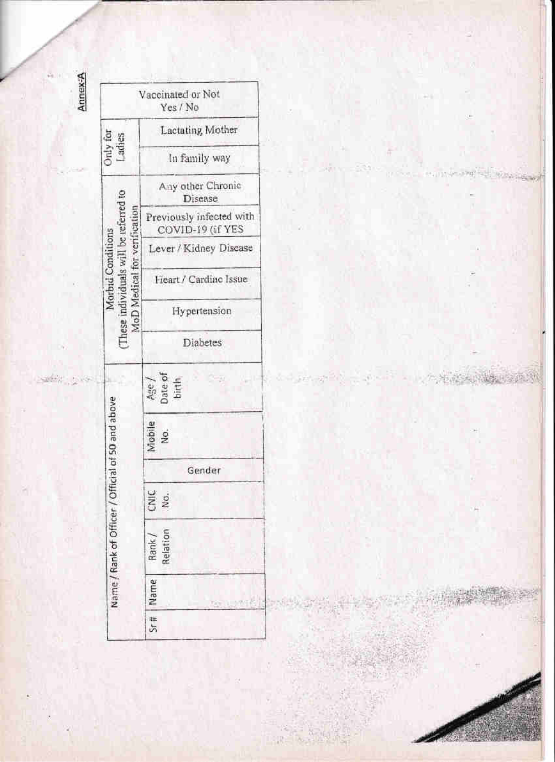

Treat